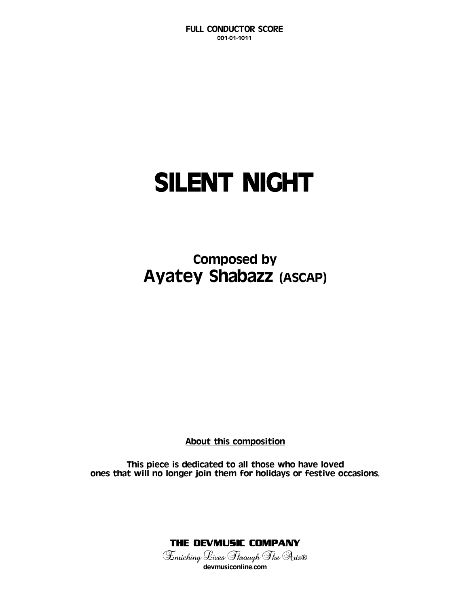**FULL CONDUCTOR SCORE 001-01-1011**

## **SILENT NIGHT**

**Composed by Ayatey Shabazz (ASCAP)**

**About this composition**

**This piece is dedicated to all those who have loved ones that will no longer join them for holidays or festive occasions.**



Enriching Lives Through The Arts® **devmusiconline.com**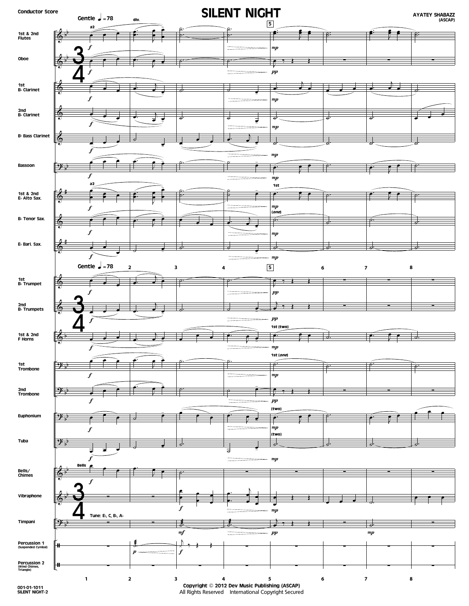

All Rights Reserved International Copyright Secured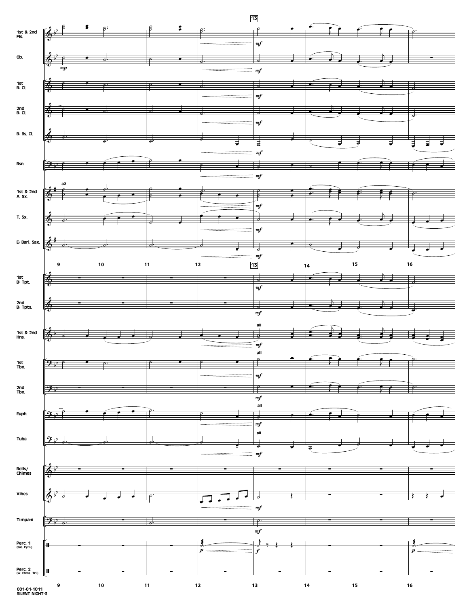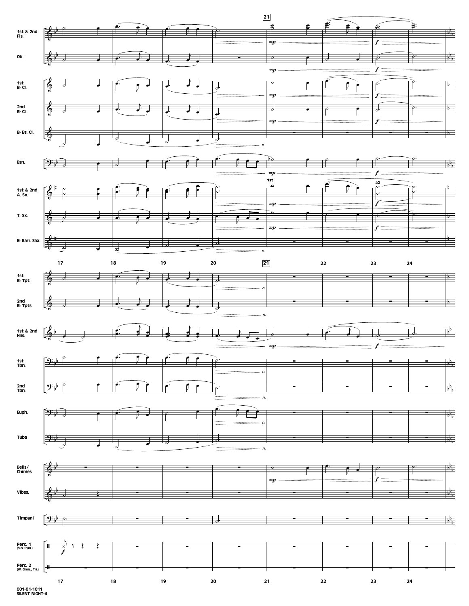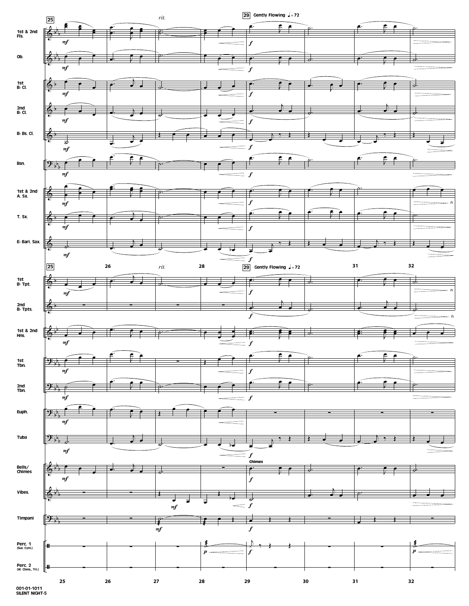

**001-01-1011 SILENT NIGHT-5**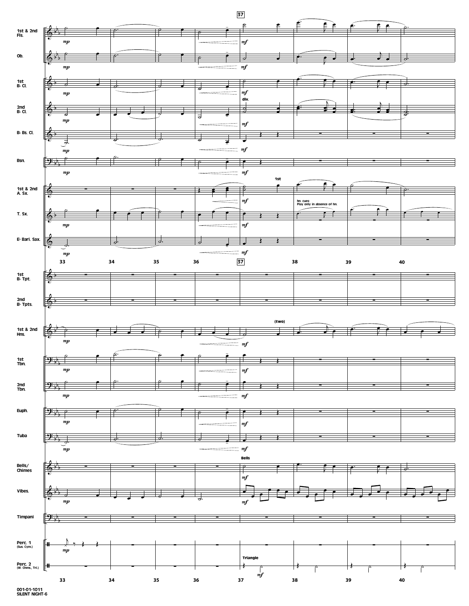

**001-01-1011 SILENT NIGHT-6**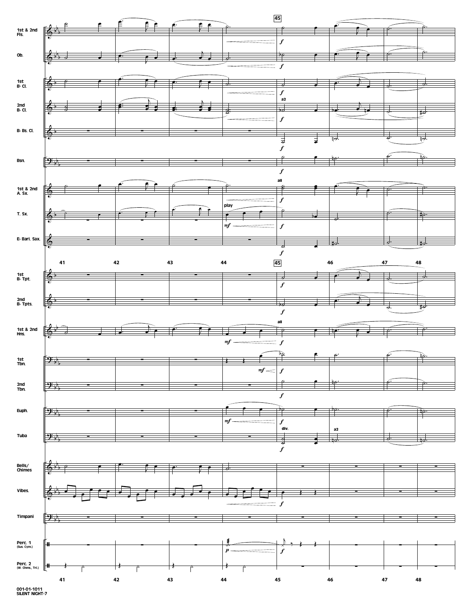